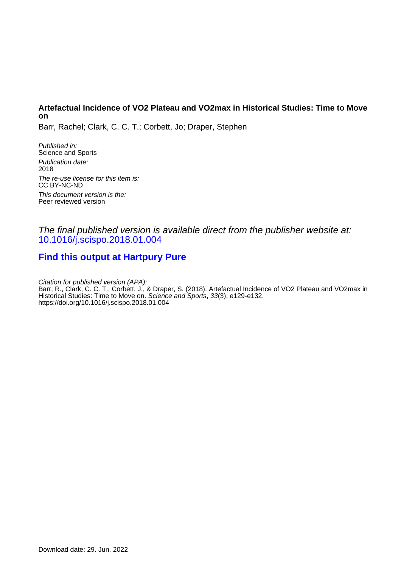### **Artefactual Incidence of VO2 Plateau and VO2max in Historical Studies: Time to Move on**

Barr, Rachel; Clark, C. C. T.; Corbett, Jo; Draper, Stephen

Published in: Science and Sports Publication date: 2018 The re-use license for this item is: CC BY-NC-ND This document version is the: Peer reviewed version

### The final published version is available direct from the publisher website at: [10.1016/j.scispo.2018.01.004](https://doi.org/10.1016/j.scispo.2018.01.004)

# **[Find this output at Hartpury Pure](https://hartpury.pure.elsevier.com/en/publications/50f7b839-bc89-44cd-9034-ee96a5a7099e)**

Citation for published version (APA): Barr, R., Clark, C. C. T., Corbett, J., & Draper, S. (2018). Artefactual Incidence of VO2 Plateau and VO2max in Historical Studies: Time to Move on. Science and Sports, 33(3), e129-e132. <https://doi.org/10.1016/j.scispo.2018.01.004>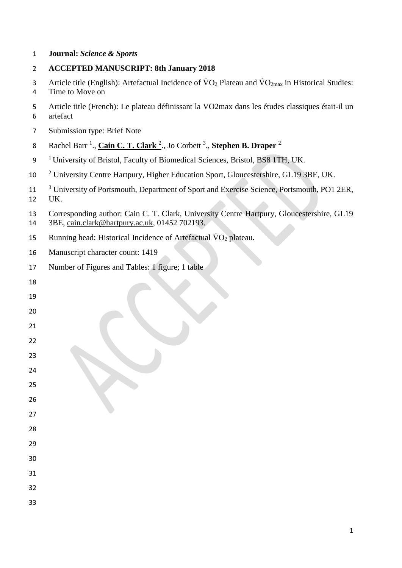### **Journal:** *Science & Sports*

### **ACCEPTED MANUSCRIPT: 8th January 2018**

3 Article title (English): Artefactual Incidence of  $\rm \dot{V}O_2$  Plateau and  $\rm \dot{V}O_{2max}$  in Historical Studies: Time to Move on

- Article title (French): Le plateau définissant la VO2max dans les études classiques était-il un artefact
- Submission type: Brief Note
- Rachel Barr<sup>1</sup>., *Cain C. T. Clark*<sup>2</sup>., Jo Corbett<sup>3</sup>., *Stephen B. Draper*<sup>2</sup>
- <sup>1</sup> University of Bristol, Faculty of Biomedical Sciences, Bristol, BS8 1TH, UK.
- <sup>2</sup> University Centre Hartpury, Higher Education Sport, Gloucestershire, GL19 3BE, UK.
- <sup>3</sup> University of Portsmouth, Department of Sport and Exercise Science, Portsmouth, PO1 2ER, UK.

 Corresponding author: Cain C. T. Clark, University Centre Hartpury, Gloucestershire, GL19 3BE, [cain.clark@hartpury.ac.uk,](mailto:cain.clark@hartpury.ac.uk) 01452 702193.

- 15 Running head: Historical Incidence of Artefactual  $\dot{V}O_2$  plateau.
- Manuscript character count: 1419
- Number of Figures and Tables: 1 figure; 1 table
- 
- 
- 
- 
- 
-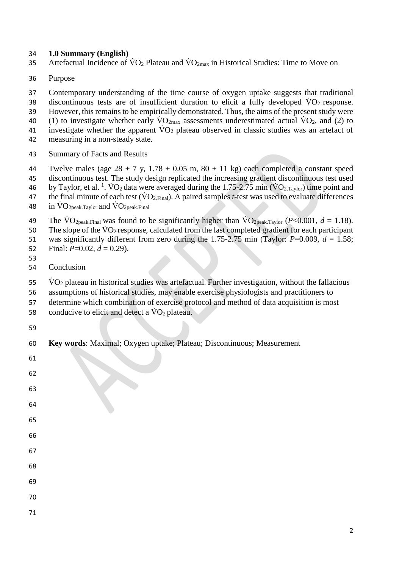#### **1.0 Summary (English)**

- 35 Artefactual Incidence of  $\rm\dot{V}O_{2}$  Plateau and  $\rm\dot{V}O_{2max}$  in Historical Studies: Time to Move on
- Purpose

 Contemporary understanding of the time course of oxygen uptake suggests that traditional 38 discontinuous tests are of insufficient duration to elicit a fully developed  $\dot{V}O_2$  response. However, this remains to be empirically demonstrated. Thus, the aims of the present study were 40 (1) to investigate whether early  $\text{VO}_{2\text{max}}$  assessments underestimated actual  $\text{VO}_2$ , and (2) to 41 investigate whether the apparent  $\rm\dot{V}O_2$  plateau observed in classic studies was an artefact of measuring in a non-steady state. Summary of Facts and Results

- 44 Twelve males (age  $28 \pm 7$  y,  $1.78 \pm 0.05$  m,  $80 \pm 11$  kg) each completed a constant speed
- discontinuous test. The study design replicated the increasing gradient discontinuous test used
- 46 by Taylor, et al. <sup>1</sup>. VO<sub>2</sub> data were averaged during the 1.75-2.75 min (VO<sub>2.Taylor</sub>) time point and 47 the final minute of each test  $(\rm\dot{VO}_2)_{Final}$ . A paired samples *t*-test was used to evaluate differences
- 
- 48 in  $\rm \dot{V}O_{2peak,Taylor}$  and  $\rm \dot{V}O_{2peak,Final}$
- 49 The  $\text{VO}_{2\text{peak,Final}}$  was found to be significantly higher than  $\text{VO}_{2\text{peak,Taylor}}$  (*P*<0.001, *d* = 1.18).
- 50 The slope of the  $\dot{V}O_2$  response, calculated from the last completed gradient for each participant
- was significantly different from zero during the 1.75-2.75 min (Taylor: *P*=0.009, *d* = 1.58;
- 52 Final:  $P=0.02$ ,  $d=0.29$ ).
- Conclusion
- VO<sub>2</sub> plateau in historical studies was artefactual. Further investigation, without the fallacious

- assumptions of historical studies, may enable exercise physiologists and practitioners to
- determine which combination of exercise protocol and method of data acquisition is most
- 58 conducive to elicit and detect a  $\dot{V}O_2$  plateau.

 $\lambda$ 

**Key words**: Maximal; Oxygen uptake; Plateau; Discontinuous; Measurement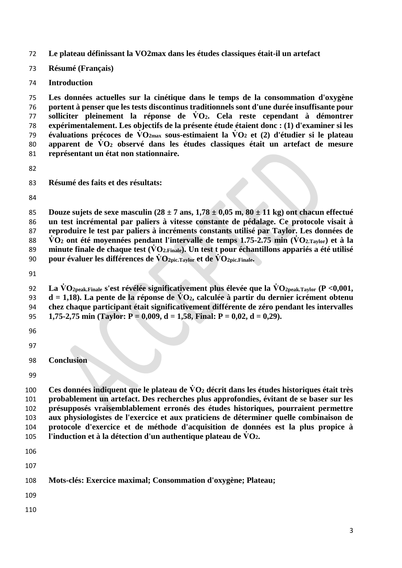**Le plateau définissant la VO2max dans les études classiques était-il un artefact**

**Résumé (Français)**

**Introduction**

 **Les données actuelles sur la cinétique dans le temps de la consommation d'oxygène portent à penser que les tests discontinus traditionnels sont d'une durée insuffisante pour solliciter pleinement la réponse de V̇ O2. Cela reste cependant à démontrer expérimentalement. Les objectifs de la présente étude étaient donc : (1) d'examiner si les évaluations précoces de V̇ O2max sous-estimaient la V̇ O<sup>2</sup> et (2) d'étudier si le plateau apparent de V̇ O<sup>2</sup> observé dans les études classiques était un artefact de mesure représentant un état non stationnaire.**

**Résumé des faits et des résultats:** 

 **Douze sujets de sexe masculin (28 ± 7 ans, 1,78 ± 0,05 m, 80 ± 11 kg) ont chacun effectué un test incrémental par paliers à vitesse constante de pédalage. Ce protocole visait à reproduire le test par paliers à incréments constants utilisé par Taylor. Les données de V̇ O<sup>2</sup> ont été moyennées pendant l'intervalle de temps 1.75-2.75 min (V̇ O2.Taylor) et à la**  89 minute finale de chaque test ( $\dot{V}O_{2,\text{Finale}}$ ). Un test t pour échantillons appariés a été utilisé **pour évaluer les différences de V̇ O2pic.Taylor et de V̇ O2pic.Finale.**

- 
- **Conclusion**

 **Ces données indiquent que le plateau de V̇ O<sup>2</sup> décrit dans les études historiques était très probablement un artefact. Des recherches plus approfondies, évitant de se baser sur les présupposés vraisemblablement erronés des études historiques, pourraient permettre aux physiologistes de l'exercice et aux praticiens de déterminer quelle combinaison de protocole d'exercice et de méthode d'acquisition de données est la plus propice à l'induction et à la détection d'un authentique plateau de**  $\dot{V}O_2$ **.** 

- 
- 

 **La V̇ O2peak.Finale s'est révélée significativement plus élevée que la V̇ O2peak.Taylor (P <0,001, d = 1,18). La pente de la réponse de V̇ O2, calculée à partir du dernier icrément obtenu chez chaque participant était significativement différente de zéro pendant les intervalles 1,75-2,75 min (Taylor: P = 0,009, d = 1,58, Final: P = 0,02, d = 0,29).**

**Mots-clés: Exercice maximal; Consommation d'oxygène; Plateau;**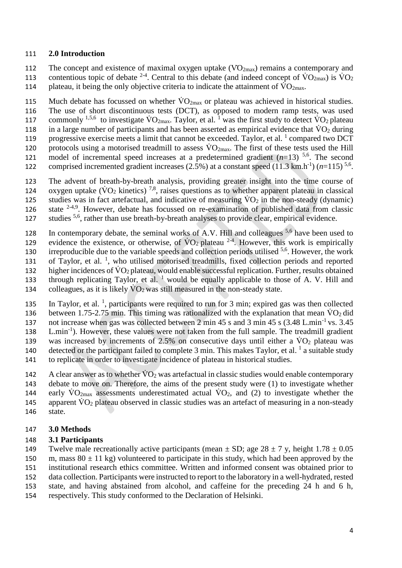#### 111 **2.0 Introduction**

112 The concept and existence of maximal oxygen uptake  $(VO<sub>2max</sub>)$  remains a contemporary and 113 contentious topic of debate <sup>2-4</sup>. Central to this debate (and indeed concept of  $\rm \ddot{VO}_{2max}$ ) is  $\rm \ddot{VO}_{2}$ 114 plateau, it being the only objective criteria to indicate the attainment of  $\rm \dot{V}O_{2max}$ .

115 Much debate has focussed on whether  $\rm\dot{VO}_{2max}$  or plateau was achieved in historical studies. 116 The use of short discontinuous tests (DCT), as opposed to modern ramp tests, was used 117 commonly <sup>1,5,6</sup> to investigate  $\rm \dot{V}O_{2max}$ . Taylor, et al. <sup>1</sup> was the first study to detect  $\rm \dot{V}O_2$  plateau 118 in a large number of participants and has been asserted as empirical evidence that  $\rm \ddot{VO}_2$  during 119 progressive exercise meets a limit that cannot be exceeded. Taylor, et al.  $\frac{1}{1}$  compared two DCT 120 protocols using a motorised treadmill to assess  $\rm \dot{V}O_{2max}$ . The first of these tests used the Hill 121 model of incremental speed increases at a predetermined gradient  $(n=13)$ <sup>5,6</sup>. The second 122 comprised incremented gradient increases  $(2.5\%)$  at a constant speed  $(11.3 \text{ km.h}^{-1}) (n=115)^{5.6}$ .

123 The advent of breath-by-breath analysis, providing greater insight into the time course of 124 oxygen uptake ( $\rm\dot{VO}_2$  kinetics)<sup>7,8</sup>, raises questions as to whether apparent plateau in classical 125 studies was in fact artefactual, and indicative of measuring  $\dot{V}O_2$  in the non-steady (dynamic) 126 state  $2-4,9$ . However, debate has focussed on re-examination of published data from classic studies <sup>5,6</sup>, rather than use breath-by-breath analyses to provide clear, empirical evidence.

128 In contemporary debate, the seminal works of A.V. Hill and colleagues  $5.6$  have been used to 129 evidence the existence, or otherwise, of  $\rm \dot{V}O_2$  plateau <sup>2-4</sup>. However, this work is empirically 130 irreproducible due to the variable speeds and collection periods utilised  $5.6$ . However, the work 131 of Taylor, et al.<sup>1</sup>, who utilised motorised treadmills, fixed collection periods and reported 132 higher incidences of  $\rm\dot{V}O_2$  plateau, would enable successful replication. Further, results obtained 133 through replicating Taylor, et al.  $<sup>1</sup>$  would be equally applicable to those of A. V. Hill and</sup> 134 colleagues, as it is likely  $\dot{V}O_2$  was still measured in the non-steady state.

135 In Taylor, et al. <sup>1</sup>, participants were required to run for 3 min; expired gas was then collected 136 between 1.75-2.75 min. This timing was rationalized with the explanation that mean  $\dot{V}O_2$  did not increase when gas was collected between 2 min 45 s and 3 min 45 s  $(3.48 \text{ L.min}^{-1} \text{ vs. } 3.45)$ 138 L.min<sup>-1</sup>). However, these values were not taken from the full sample. The treadmill gradient 139 was increased by increments of  $2.5\%$  on consecutive days until either a  $\rm \dot{V}O_{2}$  plateau was 140 detected or the participant failed to complete 3 min. This makes Taylor, et al.  $\frac{1}{1}$  a suitable study 141 to replicate in order to investigate incidence of plateau in historical studies.

142 A clear answer as to whether  $\dot{V}O_2$  was artefactual in classic studies would enable contemporary 143 debate to move on. Therefore, the aims of the present study were (1) to investigate whether 144 early  $\rm{VO_{2max}}$  assessments underestimated actual  $\rm{VO_{2}}$ , and (2) to investigate whether the 145 apparent  $\rm\dot{V}O_{2}$  plateau observed in classic studies was an artefact of measuring in a non-steady 146 state.

#### 147 **3.0 Methods**

#### 148 **3.1 Participants**

149 Twelve male recreationally active participants (mean  $\pm$  SD; age 28  $\pm$  7 y, height 1.78  $\pm$  0.05 150 m, mass  $80 \pm 11$  kg) volunteered to participate in this study, which had been approved by the 151 institutional research ethics committee. Written and informed consent was obtained prior to

152 data collection. Participants were instructed to report to the laboratory in a well-hydrated, rested

- 153 state, and having abstained from alcohol, and caffeine for the preceding 24 h and 6 h,
- 154 respectively. This study conformed to the Declaration of Helsinki.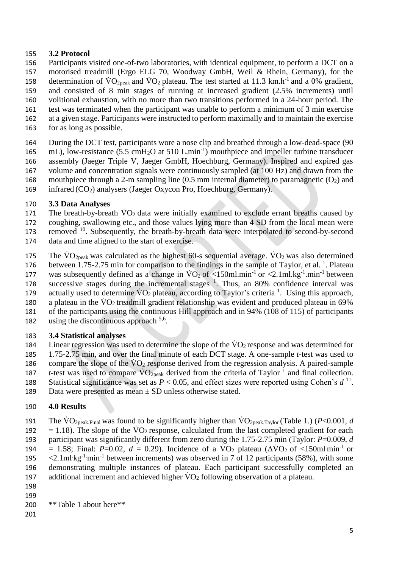#### 155 **3.2 Protocol**

- 156 Participants visited one-of-two laboratories, with identical equipment, to perform a DCT on a 157 motorised treadmill (Ergo ELG 70, Woodway GmbH, Weil & Rhein, Germany), for the 158 determination of  $\rm\dot{VO}_{2.02}$  and  $\rm\dot{VO}_{2.02}$  plateau. The test started at 11.3 km.h<sup>-1</sup> and a 0% gradient, 159 and consisted of 8 min stages of running at increased gradient (2.5% increments) until 160 volitional exhaustion, with no more than two transitions performed in a 24-hour period. The 161 test was terminated when the participant was unable to perform a minimum of 3 min exercise 162 at a given stage. Participants were instructed to perform maximally and to maintain the exercise 163 for as long as possible.
- 164 During the DCT test, participants wore a nose clip and breathed through a low-dead-space (90 165 mL), low-resistance (5.5 cmH<sub>2</sub>O at 510 L.min<sup>-1</sup>) mouthpiece and impeller turbine transducer 166 assembly (Jaeger Triple V, Jaeger GmbH, Hoechburg, Germany). Inspired and expired gas 167 volume and concentration signals were continuously sampled (at 100 Hz) and drawn from the 168 mouthpiece through a 2-m sampling line  $(0.5 \text{ mm}$  internal diameter) to paramagnetic  $(O_2)$  and 169 infrared  $(CO<sub>2</sub>)$  analysers (Jaeger Oxycon Pro, Hoechburg, Germany).

### 170 **3.3 Data Analyses**

- 171 The breath-by-breath  $\dot{V}O_2$  data were initially examined to exclude errant breaths caused by
- 172 coughing, swallowing etc., and those values lying more than 4 SD from the local mean were
- 173 removed <sup>10</sup>. Subsequently, the breath-by-breath data were interpolated to second-by-second
- 174 data and time aligned to the start of exercise.
- 175 The  $\rm\ddot{V}O_{2neak}$  was calculated as the highest 60-s sequential average.  $\rm\ddot{V}O_2$  was also determined
- 176 between 1.75-2.75 min for comparison to the findings in the sample of Taylor, et al.  $^1$ . Plateau
- 177 was subsequently defined as a change in  $\text{VO}_2$  of <150ml.min<sup>-1</sup> or <2.1ml.kg<sup>-1</sup>.min<sup>-1</sup> between
- 178 successive stages during the incremental stages  $<sup>1</sup>$ . Thus, an 80% confidence interval was</sup> 179 actually used to determine  $\rm \dot{V}O_2$  plateau, according to Taylor's criteria <sup>1</sup>. Using this approach,
- 180 a plateau in the  $\rm \dot{V}O_2$  treadmill gradient relationship was evident and produced plateau in 69%
- 181 of the participants using the continuous Hill approach and in 94% (108 of 115) of participants
- 182 using the discontinuous approach  $5.6$ .

# 183 **3.4 Statistical analyses**

- 184 Linear regression was used to determine the slope of the  $\rm\dot{V}O_2$  response and was determined for 185 1.75-2.75 min, and over the final minute of each DCT stage. A one-sample *t*-test was used to 186 compare the slope of the  $\rm\ddot{V}O_2$  response derived from the regression analysis. A paired-sample 187 *t*-test was used to compare  $\overline{VO_{2peak}}$  derived from the criteria of Taylor<sup>1</sup> and final collection.
- 188 Statistical significance was set as  $P < 0.05$ , and effect sizes were reported using Cohen's  $d<sup>11</sup>$ .
- 189 Data were presented as mean ± SD unless otherwise stated.

# 190 **4.0 Results**

- 191 The  $\text{VO}_{2\text{peak,Final}}$  was found to be significantly higher than  $\text{VO}_{2\text{peak,Tavlor}}$  (Table 1.) (*P*<0.001, *d* 192 = 1.18). The slope of the  $\rm \dot{V}O_2$  response, calculated from the last completed gradient for each 193 participant was significantly different from zero during the 1.75-2.75 min (Taylor: *P*=0.009, *d* 194 = 1.58; Final: *P*=0.02,  $d = 0.29$ ). Incidence of a  $\text{VO}_2$  plateau ( $\Delta \text{VO}_2$  of <150ml min<sup>-1</sup> or 195  $\langle 2.1 \text{ml/kg}^{-1} \text{min}^{-1}$  between increments) was observed in 7 of 12 participants (58%), with some 196 demonstrating multiple instances of plateau. Each participant successfully completed an 197 additional increment and achieved higher  $\dot{V}O_2$  following observation of a plateau.
- 198 199

```
200 **Table 1 about here**
```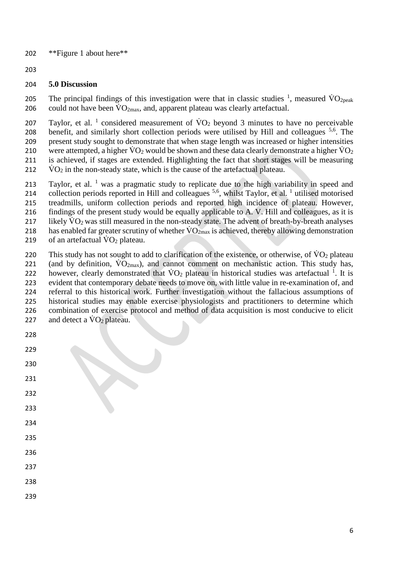- \*\*Figure 1 about here\*\*
- 

#### **5.0 Discussion**

205 The principal findings of this investigation were that in classic studies  $\frac{1}{1}$ , measured VO<sub>2peak</sub> 206 could not have been  $\rm \dot{V}O_{2max}$ , and, apparent plateau was clearly artefactual.

207 Taylor, et al. <sup>1</sup> considered measurement of  $\rm \dot{V}O_2$  beyond 3 minutes to have no perceivable 208 benefit, and similarly short collection periods were utilised by Hill and colleagues  $5,6$ . The present study sought to demonstrate that when stage length was increased or higher intensities 210 were attempted, a higher  $\rm\dot{V}O_2$  would be shown and these data clearly demonstrate a higher  $\rm\dot{V}O_2$  is achieved, if stages are extended. Highlighting the fact that short stages will be measuring  $\rm \dot{V}O_2$  in the non-steady state, which is the cause of the artefactual plateau.

213 Taylor, et al. was a pragmatic study to replicate due to the high variability in speed and 214 collection periods reported in Hill and colleagues <sup>5,6</sup>, whilst Taylor, et al.<sup>1</sup> utilised motorised treadmills, uniform collection periods and reported high incidence of plateau. However, findings of the present study would be equally applicable to A. V. Hill and colleagues, as it is 217 likely  $\rm \dot{V}O_2$  was still measured in the non-steady state. The advent of breath-by-breath analyses 218 has enabled far greater scrutiny of whether  $\rm \dot{V}O_{2max}$  is achieved, thereby allowing demonstration 219 of an artefactual  $\rm\dot{VO}_2$  plateau.

220 This study has not sought to add to clarification of the existence, or otherwise, of  $\rm \dot{V}O_{2}$  plateau 221 (and by definition,  $\rm{VO_{2max}}$ ), and cannot comment on mechanistic action. This study has, 222 however, clearly demonstrated that  $\rm\dot{VO_2}$  plateau in historical studies was artefactual <sup>1</sup>. It is evident that contemporary debate needs to move on, with little value in re-examination of, and referral to this historical work. Further investigation without the fallacious assumptions of historical studies may enable exercise physiologists and practitioners to determine which combination of exercise protocol and method of data acquisition is most conducive to elicit 227 and detect a  $\rm\ddot{V}O_{2}$  plateau.

- 
- 
- 
- 
- 
- 
- 
- 
- 
- 
-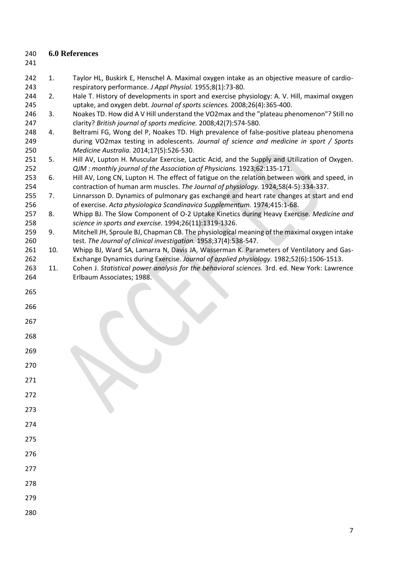- **6.0 References**
- 
- 242 1. Taylor HL, Buskirk E, Henschel A. Maximal oxygen intake as an objective measure of cardio-respiratory performance. *J Appl Physiol.* 1955;8(1):73-80.
- 244 2. Hale T. History of developments in sport and exercise physiology: A. V. Hill, maximal oxygen uptake, and oxygen debt. *Journal of sports sciences.* 2008;26(4):365-400.
- 3. Noakes TD. How did A V Hill understand the VO2max and the "plateau phenomenon"? Still no clarity? *British journal of sports medicine.* 2008;42(7):574-580.
- 4. Beltrami FG, Wong del P, Noakes TD. High prevalence of false-positive plateau phenomena during VO2max testing in adolescents. *Journal of science and medicine in sport / Sports Medicine Australia.* 2014;17(5):526-530.
- 5. Hill AV, Lupton H. Muscular Exercise, Lactic Acid, and the Supply and Utilization of Oxygen. *QJM : monthly journal of the Association of Physicians.* 1923;62:135-171.
- 6. Hill AV, Long CN, Lupton H. The effect of fatigue on the relation between work and speed, in contraction of human arm muscles. *The Journal of physiology.* 1924;58(4-5):334-337.
- 7. Linnarsson D. Dynamics of pulmonary gas exchange and heart rate changes at start and end of exercise. *Acta physiologica Scandinavica Supplementum.* 1974;415:1-68.
- 8. Whipp BJ. The Slow Component of O-2 Uptake Kinetics during Heavy Exercise. *Medicine and science in sports and exercise.* 1994;26(11):1319-1326.
- 9. Mitchell JH, Sproule BJ, Chapman CB. The physiological meaning of the maximal oxygen intake test. *The Journal of clinical investigation.* 1958;37(4):538-547.
- 261 10. Whipp BJ, Ward SA, Lamarra N, Davis JA, Wasserman K. Parameters of Ventilatory and Gas-Exchange Dynamics during Exercise. *Journal of applied physiology.* 1982;52(6):1506-1513.
- 11. Cohen J. *Statistical power analysis for the behavioral sciences.* 3rd. ed. New York: Lawrence Erlbaum Associates; 1988.
- 
- 
- 
- 
- 
- 
- 
- 
- 
- 
- 
- 
- 
- 
- 
-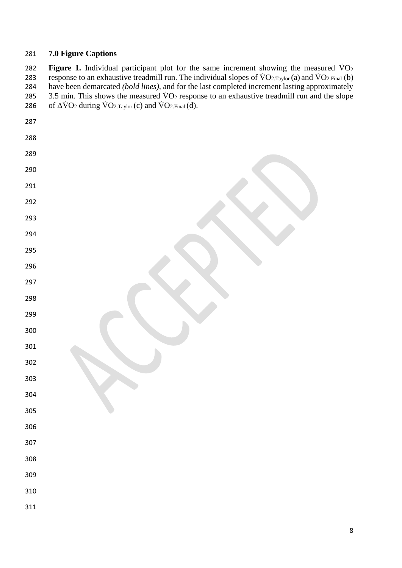#### **7.0 Figure Captions**

282 **Figure 1.** Individual participant plot for the same increment showing the measured  $\dot{V}O_2$ 283 response to an exhaustive treadmill run. The individual slopes of  $VO_{2,Taylor}(a)$  and  $VO_{2.Final}(b)$  have been demarcated *(bold lines),* and for the last completed increment lasting approximately 285 3.5 min. This shows the measured  $\rm \dot{V}O_2$  response to an exhaustive treadmill run and the slope 286 of  $\Delta \dot{V}O_2$  during  $\dot{V}O_{2,Taylor}$  (c) and  $\dot{V}O_{2,Final}$  (d).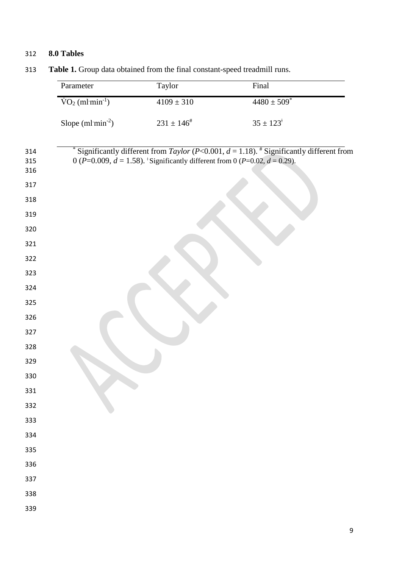# **8.0 Tables**

| Parameter                           | Taylor                                                                          | Final                                                                                                 |
|-------------------------------------|---------------------------------------------------------------------------------|-------------------------------------------------------------------------------------------------------|
| $\text{VO}_2 \text{ (ml·min}^{-1})$ | $4109 \pm 310$                                                                  | $4480 \pm 509$ <sup>*</sup>                                                                           |
| Slope $(ml·min-2)$                  | $231\pm146^{\text{\#}}$                                                         | $35 \pm 123^{\circ}$                                                                                  |
|                                     | 0 (P=0.009, $d = 1.58$ ). Significantly different from 0 (P=0.02, $d = 0.29$ ). | Significantly different from Taylor (P<0.001, $d = 1.18$ ). <sup>#</sup> Significantly different from |
|                                     |                                                                                 |                                                                                                       |
|                                     |                                                                                 |                                                                                                       |
|                                     |                                                                                 |                                                                                                       |
|                                     |                                                                                 |                                                                                                       |
|                                     |                                                                                 |                                                                                                       |
|                                     |                                                                                 |                                                                                                       |
|                                     |                                                                                 |                                                                                                       |
|                                     |                                                                                 |                                                                                                       |
|                                     |                                                                                 |                                                                                                       |
|                                     |                                                                                 |                                                                                                       |
|                                     |                                                                                 |                                                                                                       |
|                                     |                                                                                 |                                                                                                       |
|                                     |                                                                                 |                                                                                                       |
|                                     |                                                                                 |                                                                                                       |
|                                     |                                                                                 |                                                                                                       |
|                                     |                                                                                 |                                                                                                       |
|                                     |                                                                                 |                                                                                                       |
|                                     |                                                                                 |                                                                                                       |
|                                     |                                                                                 |                                                                                                       |
|                                     |                                                                                 |                                                                                                       |

**Table 1.** Group data obtained from the final constant-speed treadmill runs.